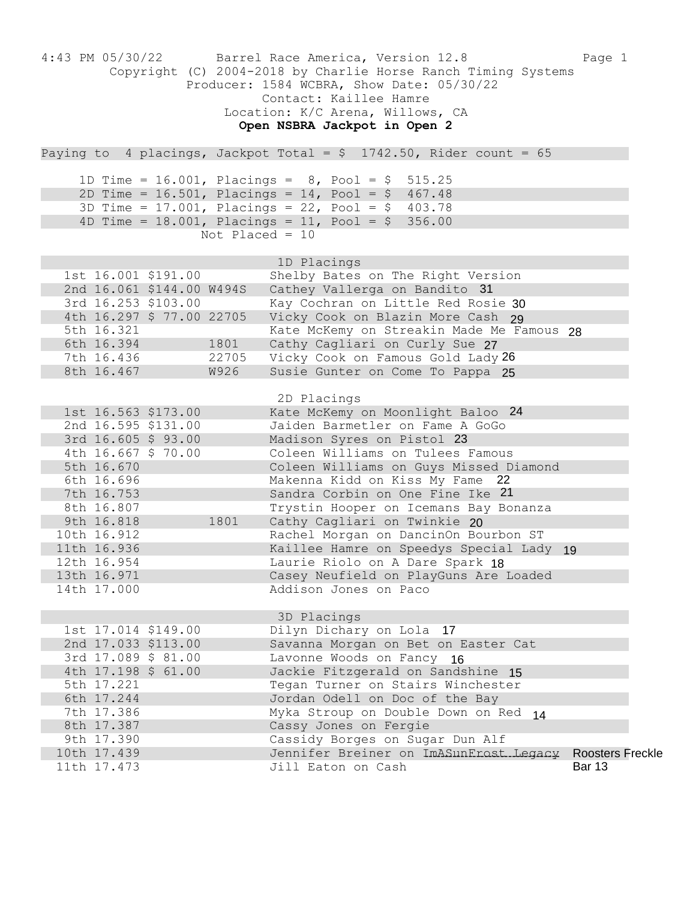|                           |            |                           |                   | 4:43 PM 05/30/22 Barrel Race America, Version 12.8<br>Copyright (C) 2004-2018 by Charlie Horse Ranch Timing Systems<br>Producer: 1584 WCBRA, Show Date: 05/30/22<br>Contact: Kaillee Hamre<br>Location: K/C Arena, Willows, CA<br>Open NSBRA Jackpot in Open 2 | Page 1                  |
|---------------------------|------------|---------------------------|-------------------|----------------------------------------------------------------------------------------------------------------------------------------------------------------------------------------------------------------------------------------------------------------|-------------------------|
|                           |            |                           |                   | Paying to 4 placings, Jackpot Total = $$$ 1742.50, Rider count = 65                                                                                                                                                                                            |                         |
|                           |            |                           |                   |                                                                                                                                                                                                                                                                |                         |
|                           |            |                           |                   | 1D Time = 16.001, Placings = $8$ , Pool = $$$ 515.25<br>2D Time = $16.501$ , Placings = $14$ , Pool = \$ 467.48                                                                                                                                                |                         |
|                           |            |                           |                   | 3D Time = 17.001, Placings = 22, Pool = $$$ 403.78                                                                                                                                                                                                             |                         |
|                           |            |                           |                   | 4D Time = $18.001$ , Placings = $11$ , Pool = \$ 356.00                                                                                                                                                                                                        |                         |
|                           |            |                           | Not Placed = $10$ |                                                                                                                                                                                                                                                                |                         |
|                           |            |                           |                   | 1D Placings                                                                                                                                                                                                                                                    |                         |
|                           |            | 1st 16.001 \$191.00       |                   | Shelby Bates on The Right Version                                                                                                                                                                                                                              |                         |
|                           |            | 2nd 16.061 \$144.00 W494S |                   | Cathey Vallerga on Bandito 31                                                                                                                                                                                                                                  |                         |
|                           |            | 3rd 16.253 \$103.00       |                   | Kay Cochran on Little Red Rosie 30                                                                                                                                                                                                                             |                         |
|                           |            | 4th 16.297 \$ 77.00 22705 |                   | Vicky Cook on Blazin More Cash 29                                                                                                                                                                                                                              |                         |
| 5th 16.321                |            |                           |                   | Kate McKemy on Streakin Made Me Famous 28                                                                                                                                                                                                                      |                         |
|                           | 6th 16.394 |                           | 1801              | Cathy Cagliari on Curly Sue 27                                                                                                                                                                                                                                 |                         |
|                           | 7th 16.436 |                           | 22705             | Vicky Cook on Famous Gold Lady 26                                                                                                                                                                                                                              |                         |
|                           | 8th 16.467 |                           | W926              | Susie Gunter on Come To Pappa 25                                                                                                                                                                                                                               |                         |
|                           |            |                           |                   | 2D Placings                                                                                                                                                                                                                                                    |                         |
|                           |            | 1st 16.563 \$173.00       |                   | Kate McKemy on Moonlight Baloo 24                                                                                                                                                                                                                              |                         |
|                           |            | 2nd 16.595 \$131.00       |                   | Jaiden Barmetler on Fame A GoGo                                                                                                                                                                                                                                |                         |
|                           |            | 3rd 16.605 \$ 93.00       |                   | Madison Syres on Pistol 23                                                                                                                                                                                                                                     |                         |
|                           |            | 4th 16.667 \$ 70.00       |                   | Coleen Williams on Tulees Famous                                                                                                                                                                                                                               |                         |
| 5th 16.670                |            |                           |                   | Coleen Williams on Guys Missed Diamond                                                                                                                                                                                                                         |                         |
| 6th 16.696                |            |                           |                   | Makenna Kidd on Kiss My Fame 22                                                                                                                                                                                                                                |                         |
| 7th 16.753<br>8th 16.807  |            |                           |                   | Sandra Corbin on One Fine Ike 21                                                                                                                                                                                                                               |                         |
| 9th 16.818                |            |                           | 1801              | Trystin Hooper on Icemans Bay Bonanza<br>Cathy Cagliari on Twinkie 20                                                                                                                                                                                          |                         |
| 10th 16.912               |            |                           |                   | Rachel Morgan on DancinOn Bourbon ST                                                                                                                                                                                                                           |                         |
| 11th 16.936               |            |                           |                   | Kaillee Hamre on Speedys Special Lady 19                                                                                                                                                                                                                       |                         |
| 12th 16.954               |            |                           |                   | Laurie Riolo on A Dare Spark 18                                                                                                                                                                                                                                |                         |
| 13th 16.971               |            |                           |                   | Casey Neufield on PlayGuns Are Loaded                                                                                                                                                                                                                          |                         |
| 14th 17.000               |            |                           |                   | Addison Jones on Paco                                                                                                                                                                                                                                          |                         |
|                           |            |                           |                   |                                                                                                                                                                                                                                                                |                         |
|                           |            | 1st 17.014 \$149.00       |                   | 3D Placings<br>Dilyn Dichary on Lola 17                                                                                                                                                                                                                        |                         |
|                           |            | 2nd 17.033 \$113.00       |                   | Savanna Morgan on Bet on Easter Cat                                                                                                                                                                                                                            |                         |
|                           |            | 3rd 17.089 \$ 81.00       |                   | Lavonne Woods on Fancy 16                                                                                                                                                                                                                                      |                         |
|                           |            | 4th 17.198 \$ 61.00       |                   | Jackie Fitzgerald on Sandshine 15                                                                                                                                                                                                                              |                         |
| 5th 17.221                |            |                           |                   | Tegan Turner on Stairs Winchester                                                                                                                                                                                                                              |                         |
| 6th 17.244                |            |                           |                   | Jordan Odell on Doc of the Bay                                                                                                                                                                                                                                 |                         |
| 7th 17.386                |            |                           |                   | Myka Stroup on Double Down on Red 14                                                                                                                                                                                                                           |                         |
| 8th 17.387                |            |                           |                   | Cassy Jones on Fergie                                                                                                                                                                                                                                          |                         |
| 9th 17.390<br>10th 17.439 |            |                           |                   | Cassidy Borges on Sugar Dun Alf<br>Jennifer Breiner on ImASunFrost Legacy                                                                                                                                                                                      | <b>Roosters Freckle</b> |
| 11th 17.473               |            |                           |                   | Jill Eaton on Cash                                                                                                                                                                                                                                             | <b>Bar 13</b>           |
|                           |            |                           |                   |                                                                                                                                                                                                                                                                |                         |